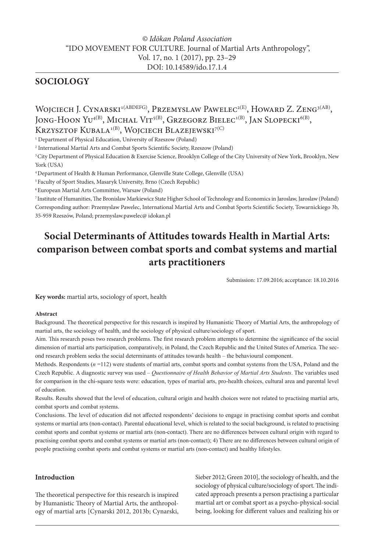# *© Idōkan Poland Association* "IDO MOVEMENT FOR CULTURE. Journal of Martial Arts Anthropology", Vol. 17, no. 1 (2017), pp. 23–29 DOI: 10.14589/ido.17.1.4

# **SOCIOLOGY**

WOJCIECH J. CYNARSKI<sup>1(ABDEFG)</sup>, PRZEMYSLAW PAWELEC<sup>2(E)</sup>, HOWARD Z. ZENG<sup>3(AB)</sup>, JONG-HOON YU<sup>4(B)</sup>, MICHAL VIT<sup>5(B)</sup>, GRZEGORZ BIELEC<sup>1(B)</sup>, JAN SLOPECKI<sup>6(B)</sup>, KRZYSZTOF KUBALA<sup>1(B)</sup>, WOJCIECH BLAZEJEWSKI<sup>7(C)</sup>

1 Department of Physical Education, University of Rzeszow (Poland)

2 International Martial Arts and Combat Sports Scientific Society, Rzeszow (Poland)

3 City Department of Physical Education & Exercise Science, Brooklyn College of the City University of New York, Brooklyn, New York (USA)

4 Department of Health & Human Performance, Glenville State College, Glenville (USA)

5 Faculty of Sport Studies, Masaryk University, Brno (Czech Republic)

6 European Martial Arts Committee, Warsaw (Poland)

7 Institute of Humanities, The Bronislaw Markiewicz State Higher School of Technology and Economics in Jaroslaw, Jaroslaw (Poland) Corresponding author: Przemyslaw Pawelec, International Martial Arts and Combat Sports Scientific Society, Towarnickiego 3b, 35-959 Rzeszów, Poland; przemyslaw.pawelec@ idokan.pl

# **Social Determinants of Attitudes towards Health in Martial Arts: comparison between combat sports and combat systems and martial arts practitioners**

Submission: 17.09.2016; acceptance: 18.10.2016

**Key words:** martial arts, sociology of sport, health

#### **Abstract**

Background. The theoretical perspective for this research is inspired by Humanistic Theory of Martial Arts, the anthropology of martial arts, the sociology of health, and the sociology of physical culture/sociology of sport.

Aim. This research poses two research problems. The first research problem attempts to determine the significance of the social dimension of martial arts participation, comparatively, in Poland, the Czech Republic and the United States of America. The second research problem seeks the social determinants of attitudes towards health – the behavioural component.

Methods. Respondents (*n* =112) were students of martial arts, combat sports and combat systems from the USA, Poland and the Czech Republic. A diagnostic survey was used – *Questionnaire of Health Behavior of Martial Arts Students*. The variables used for comparison in the chi-square tests were: education, types of martial arts, pro-health choices, cultural area and parental level of education.

Results. Results showed that the level of education, cultural origin and health choices were not related to practising martial arts, combat sports and combat systems.

Conclusions. The level of education did not affected respondents' decisions to engage in practising combat sports and combat systems or martial arts (non-contact). Parental educational level, which is related to the social background, is related to practising combat sports and combat systems or martial arts (non-contact). There are no differences between cultural origin with regard to practising combat sports and combat systems or martial arts (non-contact); 4) There are no differences between cultural origin of people practising combat sports and combat systems or martial arts (non-contact) and healthy lifestyles.

## **Introduction**

The theoretical perspective for this research is inspired by Humanistic Theory of Martial Arts, the anthropology of martial arts [Cynarski 2012, 2013b; Cynarski, Sieber 2012; Green 2010], the sociology of health, and the sociology of physical culture/sociology of sport. The indicated approach presents a person practising a particular martial art or combat sport as a psycho-physical-social being, looking for different values and realizing his or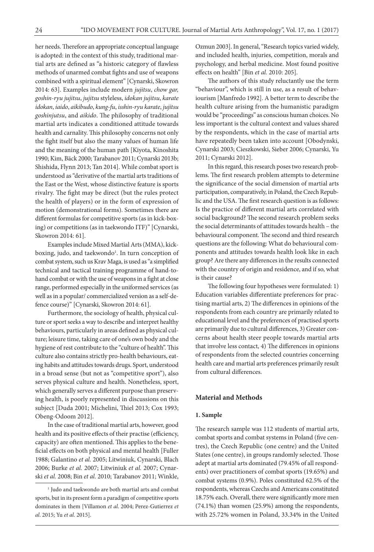her needs. Therefore an appropriate conceptual language is adopted: in the context of this study, traditional martial arts are defined as "a historic category of flawless methods of unarmed combat fights and use of weapons combined with a spiritual element" [Cynarski, Skowron 2014: 63]. Examples include modern *jujitsu*, *chow gar, goshin-ryu jujitsu*, *jujitsu* styleless, *idokan jujitsu*, *karate idokan*, *iaido*, *aikibudo*, *kung-fu*, *isshin-ryu karate*, *jujitsu goshinjutsu*, and *aikido*. The philosophy of traditional martial arts indicates a conditioned attitude towards health and carnality. This philosophy concerns not only the fight itself but also the many values of human life and the meaning of the human path [Kiyota, Kinoshita 1990; Kim, Bäck 2000; Tarabanov 2011; Cynarski 2013b; Shishida, Flynn 2013; Tan 2014]. While combat sport is understood as "derivative of the martial arts traditions of the East or the West, whose distinctive feature is sports rivalry. The fight may be direct (but the rules protect the health of players) or in the form of expression of motion (demonstrational forms). Sometimes there are different formulas for competitive sports (as in kick-boxing) or competitions (as in taekwondo ITF)" [Cynarski, Skowron 2014: 61].

Examples include Mixed Martial Arts (MMA), kickboxing, judo, and taekwondo<sup>1</sup>. In turn conception of combat system, such us Krav Maga, is used as "a simplified technical and tactical training programme of hand-tohand combat or with the use of weapons in a fight at close range, performed especially in the uniformed services (as well as in a popular/ commercialized version as a self-defence course)" [Cynarski, Skowron 2014: 61].

Furthermore, the sociology of health, physical culture or sport seeks a way to describe and interpret healthy behaviours, particularly in areas defined as physical culture; leisure time, taking care of one's own body and the hygiene of rest contribute to the "culture of health". This culture also contains strictly pro-health behaviours, eating habits and attitudes towards drugs. Sport, understood in a broad sense (but not as "competitive sport"), also serves physical culture and health. Nonetheless, sport, which generally serves a different purpose than preserving health, is poorly represented in discussions on this subject [Duda 2001; Michelini, Thiel 2013; Cox 1993; Obeng-Odoom 2012].

In the case of traditional martial arts, however, good health and its positive effects of their practise (efficiency, capacity) are often mentioned. This applies to the beneficial effects on both physical and mental health [Fuller 1988; Galantino *et al.* 2005; Litwiniuk, Cynarski, Blach 2006; Burke *et al.* 2007; Litwiniuk *et al.* 2007; Cynarski *et al.* 2008; Bin *et al.* 2010; Tarabanov 2011; Winkle,

Ozmun 2003]. In general, "Research topics varied widely, and included health, injuries, competition, morals and psychology, and herbal medicine. Most found positive effects on health" [Bin *et al.* 2010: 205].

The authors of this study reluctantly use the term "behaviour", which is still in use, as a result of behaviourism [Manfredo 1992]. A better term to describe the health culture arising from the humanistic paradigm would be "proceedings" as conscious human choices. No less important is the cultural context and values shared by the respondents, which in the case of martial arts have repeatedly been taken into account [Obodynski, Cynarski 2003; Cieszkowski, Sieber 2006; Cynarski, Yu 2011; Cynarski 2012].

In this regard, this research poses two research problems. The first research problem attempts to determine the significance of the social dimension of martial arts participation, comparatively, in Poland, the Czech Republic and the USA. The first research question is as follows: Is the practice of different martial arts correlated with social background? The second research problem seeks the social determinants of attitudes towards health – the behavioural component. The second and third research questions are the following: What do behavioural components and attitudes towards health look like in each group? Are there any differences in the results connected with the country of origin and residence, and if so, what is their cause?

The following four hypotheses were formulated: 1) Education variables differentiate preferences for practising martial arts, 2) The differences in opinions of the respondents from each country are primarily related to educational level and the preferences of practised sports are primarily due to cultural differences, 3) Greater concerns about health steer people towards martial arts that involve less contact, 4) The differences in opinions of respondents from the selected countries concerning health care and martial arts preferences primarily result from cultural differences.

#### **Material and Methods**

#### **1. Sample**

The research sample was 112 students of martial arts, combat sports and combat systems in Poland (five centres), the Czech Republic (one centre) and the United States (one centre), in groups randomly selected. Those adept at martial arts dominated (79.45% of all respondents) over practitioners of combat sports (19.65%) and combat systems (0.9%). Poles constituted 62.5% of the respondents, whereas Czechs and Americans constituted 18.75% each. Overall, there were significantly more men (74.1%) than women (25.9%) among the respondents, with 25.72% women in Poland, 33.34% in the United

<sup>1</sup> Judo and taekwondo are both martial arts and combat sports, but in its present form a paradigm of competitive sports dominates in them [Villamon *et al*. 2004; Perez-Gutierrez *et al*. 2015; Yu *et al*. 2015].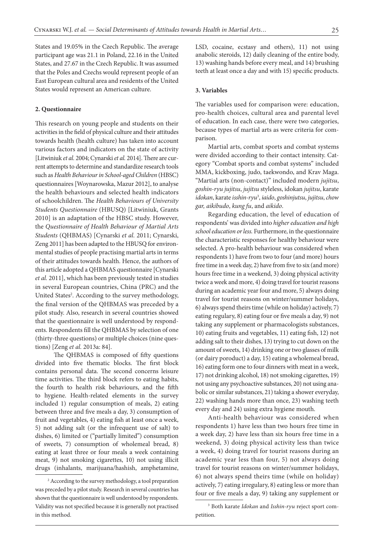States and 19.05% in the Czech Republic. The average participant age was 21.1 in Poland, 22.16 in the United States, and 27.67 in the Czech Republic. It was assumed that the Poles and Czechs would represent people of an East European cultural area and residents of the United States would represent an American culture.

#### **2. Questionnaire**

This research on young people and students on their activities in the field of physical culture and their attitudes towards health (health culture) has taken into account various factors and indicators on the state of activity [Litwiniuk *et al.* 2004; Cynarski *et al.* 2014]. There are current attempts to determine and standardize research tools such as *Health Behaviour in School-aged Children* (HBSC) questionnaires [Woynarowska, Mazur 2012], to analyse the health behaviours and selected health indicators of schoolchildren. The *Health Behaviours of University Students Questionnaire* (HBUSQ) [Litwiniuk, Grants 2010] is an adaptation of the HBSC study. However, the *Questionnaire of Health Behaviour of Martial Arts Students* (QHBMAS) [Cynarski *et al.* 2011; Cynarski, Zeng 2011] has been adapted to the HBUSQ for environmental studies of people practising martial arts in terms of their attitudes towards health. Hence, the authors of this article adopted a QHBMAS questionnaire [Cynarski *et al.* 2011], which has been previously tested in studies in several European countries, China (PRC) and the United States<sup>2</sup>. According to the survey methodology, the final version of the QHBMAS was preceded by a pilot study. Also, research in several countries showed that the questionnaire is well understood by respondents. Respondents fill the QHBMAS by selection of one (thirty-three questions) or multiple choices (nine questions) [Zeng *et al.* 2013a: 84].

The QHBMAS is composed of fifty questions divided into five thematic blocks. The first block contains personal data. The second concerns leisure time activities. The third block refers to eating habits, the fourth to health risk behaviours, and the fifth to hygiene. Health-related elements in the survey included 1) regular consumption of meals, 2) eating between three and five meals a day, 3) consumption of fruit and vegetables, 4) eating fish at least once a week, 5) not adding salt (or the infrequent use of salt) to dishes, 6) limited or ("partially limited") consumption of sweets, 7) consumption of wholemeal bread, 8) eating at least three or four meals a week containing meat, 9) not smoking cigarettes, 10) not using illicit drugs (inhalants, marijuana/hashish, amphetamine,

LSD, cocaine, ecstasy and others), 11) not using anabolic steroids, 12) daily cleaning of the entire body, 13) washing hands before every meal, and 14) brushing teeth at least once a day and with 15) specific products.

#### **3. Variables**

The variables used for comparison were: education, pro-health choices, cultural area and parental level of education. In each case, there were two categories, because types of martial arts as were criteria for comparison.

Martial arts, combat sports and combat systems were divided according to their contact intensity. Category "Combat sports and combat systems" included MMA, kickboxing, judo, taekwondo, and Krav Maga. "Martial arts (non-contact)" included modern *jujitsu*, *goshin-ryu jujitsu*, *jujitsu* styleless, idokan *jujitsu*, karate *idokan*, karate *isshin-ryu*<sup>3</sup> , *iaido*, *goshinjutsu*, *jujitsu*, *chow gar, aikibudo*, *kung fu*, and *aikido*.

Regarding education, the level of education of respondents' was divided into *higher education and high school education or less.* Furthermore, in the questionnaire the characteristic responses for healthy behaviour were selected. A pro-health behaviour was considered when respondents 1) have from two to four (and more) hours free time in a week day, 2) have from five to six (and more) hours free time in a weekend, 3) doing physical activity twice a week and more, 4) doing travel for tourist reasons during an academic year four and more, 5) always doing travel for tourist reasons on winter/summer holidays, 6) always spend theirs time (while on holiday) actively, 7) eating regulary, 8) eating four or five meals a day, 9) not taking any supplement or pharmacologists substances, 10) eating fruits and vegetables, 11) eating fish, 12) not adding salt to their dishes, 13) trying to cut down on the amount of sweets, 14) drinking one or two glasses of milk (or dairy poroduct) a day, 15) eating a wholemeal bread, 16) eating form one to four dinners with meat in a week, 17) not drinking alcohol, 18) not smoking cigarettes, 19) not using any psychoactive substances, 20) not using anabolic or similar substances, 21) taking a shower everyday, 22) washing hands more than once, 23) washing teeth every day and 24) using extra hygiene mouth.

Anti-health behaviour was considered when respondents 1) have less than two hours free time in a week day, 2) have less than six hours free time in a weekend, 3) doing physical activity less than twice a week, 4) doing travel for tourist reasons during an academic year less than four, 5) not always doing travel for tourist reasons on winter/summer holidays, 6) not always spend theirs time (while on holiday) actively, 7) eating irregulary, 8) eating less or more than four or five meals a day, 9) taking any supplement or

<sup>2</sup> According to the survey methodology, a tool preparation was preceded by a pilot study. Research in several countries has shown that the questionnaire is well understood by respondents. Validity was not specified because it is generally not practised in this method.

<sup>3</sup> Both karate *Idokan* and *Isshin-ryu* reject sport competition.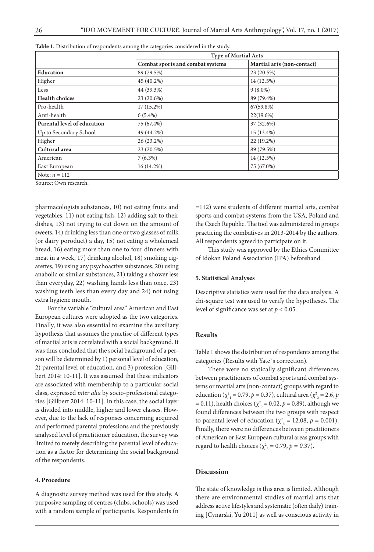|                             | <b>Type of Martial Arts</b>      |                            |
|-----------------------------|----------------------------------|----------------------------|
|                             | Combat sports and combat systems | Martial arts (non-contact) |
| <b>Education</b>            | 89 (79.5%)                       | 23 (20.5%)                 |
| Higher                      | 45 (40.2%)                       | 14 (12.5%)                 |
| Less                        | 44 (39.3%)                       | $9(8.0\%)$                 |
| <b>Health choices</b>       | 23 (20.6%)                       | 89 (79.4%)                 |
| Pro-health                  | 17 (15.2%)                       | 67(59.8%)                  |
| Anti-health                 | $6(5.4\%)$                       | 22(19.6%)                  |
| Parental level of education | 75 (67.4%)                       | 37 (32.6%)                 |
| Up to Secondary School      | 49 (44.2%)                       | 15 (13.4%)                 |
| Higher                      | 26 (23.2%)                       | 22 (19.2%)                 |
| Cultural area               | 23 (20.5%)                       | 89 (79.5%)                 |
| American                    | $7(6.3\%)$                       | 14 (12.5%)                 |
| East European               | 16 (14.2%)                       | 75 (67.0%)                 |
| Note: $n = 112$             |                                  |                            |

**Table 1.** Distribution of respondents among the categories considered in the study.

Source: Own research.

pharmacologists substances, 10) not eating fruits and vegetables, 11) not eating fish, 12) adding salt to their dishes, 13) not trying to cut down on the amount of sweets, 14) drinking less than one or two glasses of milk (or dairy poroduct) a day, 15) not eating a wholemeal bread, 16) eating more than one to four dinners with meat in a week, 17) drinking alcohol, 18) smoking cigarettes, 19) using any psychoactive substances, 20) using anabolic or similar substances, 21) taking a shower less than everyday, 22) washing hands less than once, 23) washing teeth less than every day and 24) not using extra hygiene mouth.

For the variable "cultural area" American and East European cultures were adopted as the two categories. Finally, it was also essential to examine the auxiliary hypothesis that assumes the practise of different types of martial arts is correlated with a social background. It was thus concluded that the social background of a person will be determined by 1) personal level of education, 2) parental level of education, and 3) profession [Gillbert 2014: 10-11]. It was assumed that these indicators are associated with membership to a particular social class, expressed *inter alia* by socio-professional categories [Gillbert 2014: 10-11]. In this case, the social layer is divided into middle, higher and lower classes. However, due to the lack of responses concerning acquired and performed parental professions and the previously analysed level of practitioner education, the survey was limited to merely describing the parental level of education as a factor for determining the social background of the respondents.

#### **4. Procedure**

A diagnostic survey method was used for this study. A purposive sampling of centres (clubs, schools) was used with a random sample of participants. Respondents (n =112) were students of different martial arts, combat sports and combat systems from the USA, Poland and the Czech Republic. The tool was administered in groups practicing the combatives in 2013-2014 by the authors. All respondents agreed to participate on it.

This study was approved by the Ethics Committee of Idokan Poland Association (IPA) beforehand.

#### **5. Statistical Analyses**

Descriptive statistics were used for the data analysis. A chi-square test was used to verify the hypotheses. The level of significance was set at *p* < 0.05.

#### **Results**

Table 1 shows the distribution of respondents among the categories (Results with Yate`s correction).

There were no statically significant differences between practitioners of combat sports and combat systems or martial arts (non-contact) groups with regard to education ( $\chi^2_{1} = 0.79, p = 0.37$ ), cultural area ( $\chi^2_{2} = 2.6, p$  $= 0.11$ ), health choices ( $\chi^2_{3} = 0.02$ ,  $p = 0.89$ ), although we found differences between the two groups with respect to parental level of education ( $\chi^2_{4} = 12.08$ ,  $p = 0.001$ ). Finally, there were no differences between practitioners of American or East European cultural areas groups with regard to health choices ( $\chi^2$ <sub>5</sub> = 0.79, *p* = 0.37).

### **Discussion**

The state of knowledge is this area is limited. Although there are environmental studies of martial arts that address active lifestyles and systematic (often daily) training [Cynarski, Yu 2011] as well as conscious activity in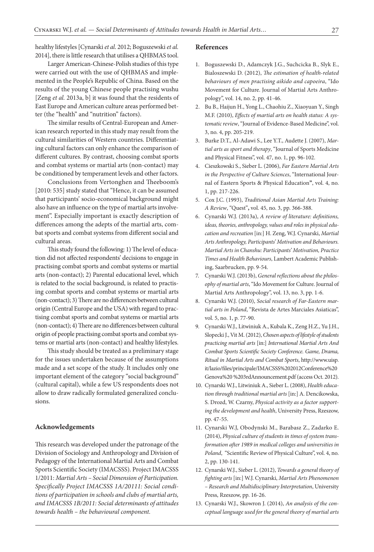healthy lifestyles [Cynarski *et al*. 2012; Boguszewski *et al.* 2014], there is little research that utilises a QHBMAS tool.

Larger American-Chinese-Polish studies of this type were carried out with the use of QHBMAS and implemented in the People's Republic of China. Based on the results of the young Chinese people practising wushu [Zeng *et al.* 2013a, b] it was found that the residents of East Europe and American culture areas performed better (the "health" and "nutrition" factors).

The similar results of Central-European and American research reported in this study may result from the cultural similarities of Western countries. Differentiating cultural factors can only enhance the comparison of different cultures. By contrast, choosing combat sports and combat systems or martial arts (non-contact) may be conditioned by temperament levels and other factors.

Conclusions from Vertonghen and Theeboom's [2010: 535] study stated that "Hence, it can be assumed that participants' socio-economical background might also have an influence on the type of martial arts involvement". Especially important is exactly description of differences among the adepts of the martial arts, combat sports and combat systems from different social and cultural areas.

This study found the following: 1) The level of education did not affected respondents' decisions to engage in practising combat sports and combat systems or martial arts (non-contact); 2) Parental educational level, which is related to the social background, is related to practising combat sports and combat systems or martial arts (non-contact); 3) There are no differences between cultural origin (Central Europe and the USA) with regard to practising combat sports and combat systems or martial arts (non-contact); 4) There are no differences between cultural origin of people practising combat sports and combat systems or martial arts (non-contact) and healthy lifestyles.

This study should be treated as a preliminary stage for the issues undertaken because of the assumptions made and a set scope of the study. It includes only one important element of the category "social background" (cultural capital), while a few US respondents does not allow to draw radically formulated generalized conclusions.

#### **Acknowledgements**

This research was developed under the patronage of the Division of Sociology and Anthropology and Division of Pedagogy of the International Martial Arts and Combat Sports Scientific Society (IMACSSS). Project IMACSSS 1/2011: *Martial Arts – Social Dimension of Participation. Specifically Project IMACSSS 1A/20111: Social conditions of participation in schools and clubs of martial arts, and IMACSSS 1B/2011: Social determinants of attitudes towards health – the behavioural component.*

#### **References**

- 1. Boguszewski D., Adamczyk J.G., Suchcicka B., Slyk E., Bialoszewski D. (2012), *The estimation of health-related behaviours of men practising aikido and capoeira*, "Ido Movement for Culture. Journal of Martial Arts Anthropology", vol. 14, no. 2, pp. 41-46.
- 2. Bu B., Haijun H., Yong L., Chaohiu Z., Xiaoyuan Y., Singh M.F. (2010), *Effects of martial arts on health status: A systematic review*,"Journal of Evidence-Based Medicine", vol. 3, no. 4, pp. 205-219.
- 3. Burke D.T., Al-Adawi S., Lee Y.T., Audette J. (2007), *Martial arts as sport and therapy*, "Journal of Sports Medicine and Physical Fitness", vol. 47, no. 1, pp. 96-102.
- 4. Cieszkowski S., Sieber L. (2006), *Far Eastern Martial Arts in the Perspective of Culture Sciences*, "International Journal of Eastern Sports & Physical Education**"**, vol. 4, no. 1, pp. 217-226.
- 5. Cox J.C. (1993), *Traditional Asian Martial Arts Training: A Review*, "Quest"**,** vol. 45, no. 3, pp. 366-388.
- 6. Cynarski W.J. (2013a), *A review of literature: definitions, ideas, theories, anthropology, values and roles in physical education and recreation* [in:] H. Zeng, W.J. Cynarski, *Martial Arts Anthropology, Participants' Motivation and Behaviours. Martial Arts in Chanshu: Participants' Motivation, Practice Times and Health Behaviours*, Lambert Academic Publishing, Saarbrucken, pp. 9-54.
- 7. Cynarski W.J. (2013b), *General reflections about the philosophy of martial arts*, "Ido Movement for Culture. Journal of Martial Arts Anthropology", vol. 13, no. 3, pp. 1-6.
- 8. Cynarski W.J. (2010), *Social research of Far-Eastern martial arts in Poland*, "Revista de Artes Marciales Asiaticas", vol. 5, no. 1, p. 77-90.
- 9. Cynarski W.J., Litwiniuk A., Kubala K., Zeng H.Z., Yu J.H., Slopecki J., Vit M. (2012), *Chosen aspects of lifestyle of students practicing martial arts* [in:] *International Martial Arts And Combat Sports Scientific Society Conference. Game, Drama, Ritual in Martial Arts and Combat Sports*, http://www.uisp. it/lazio/files/principale/IMACSSS%202012Conference%20 Genova%20 %203rdAnnouncement.pdf (access Oct. 2012).
- 10. Cynarski W.J., Litwiniuk A., Sieber L. (2008), *Health education through traditional martial arts* [in:] A. Dencikowska, S. Drozd, W. Czarny, *Physical activity as a factor supporting the development and health*, University Press, Rzeszow, pp. 47-55.
- 11. Cynarski W.J, Obodynski M., Barabasz Z., Zadarko E. (2014), *Physical culture of students in times of system transformation after 1989 in medical colleges and universities in Poland*, "Scientific Review of Physical Culture", vol. 4, no. 2, pp. 130-141.
- 12. Cynarski W.J., Sieber L. (2012), *Towards a general theory of fighting arts* [in:] W.J. Cynarski, *Martial Arts Phenomenon – Research and Multidisciplinary Interpretation*, University Press, Rzeszow, pp. 16-26.
- 13. Cynarski W.J., Skowron J. (2014), *An analysis of the conceptual language used for the general theory of martial arts*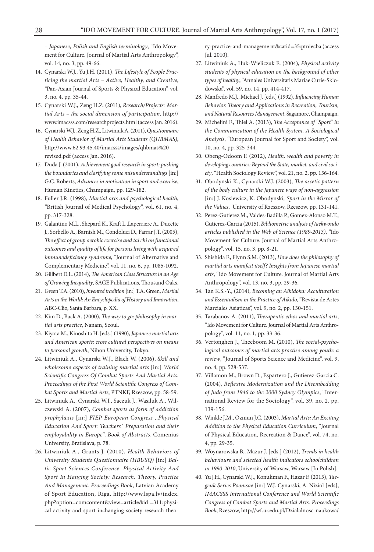*– Japanese, Polish and English terminology*, "Ido Movement for Culture. Journal of Martial Arts Anthropology", vol. 14, no. 3, pp. 49-66.

- 14. Cynarski W.J., Yu J.H. (2011), *The Lifestyle of People Practicing the martial Arts – Active, Healthy, and Creative*, "Pan-Asian Journal of Sports & Physical Education", vol. 3, no. 4, pp. 35-44.
- 15. Cynarski W.J., Zeng H.Z. (2011), *Research/Projects: Martial Arts – the social dimension of participation*, http:// www.imacsss.com/researchprojects.html (access Jan. 2016).
- 16. Cynarski W.J., Zeng H.Z., Litwiniuk A. (2011), *Questionnaire of Health Behavior of Martial Arts Students (QHBMAS)*, http://www.62.93.45.40/imacsss/images/qhbmas%20 revised.pdf (access Jan. 2016).
- 17. Duda J. (2001), *Achievement goal research in sport: pushing the boundaries and clarifying some misunderstandings* [in:] G.C. Roberts, *Advances in motivation in sport and exercise*, Human Kinetics, Champaign, pp. 129-182.
- 18. Fuller J.R. (1998), *Martial arts and psychological health*, "British Journal of Medical Psychology", vol. 61, no. 4, pp. 317-328.
- 19. Galantino M.L., Shepard K., Kraft L.,Laperriere A., Ducette J., Sorbello A., Barnish M., Condoluci D., Farrar J.T. (2005), *The effect of group aerobic exercise and tai chi on functional outcomes and quality of life for persons living with acquired immunodeficiency syndrome*, "Journal of Alternative and Complementary Medicine", vol. 11, no. 6, pp. 1085*-*1092.
- 20. Gillbert D.L. (2014), *The American Class Structure in an Age of Growing Inequality*, SAGE Publications, Thousand Oaks.
- 21. Green T.A. (2010), *Invented tradition* [in:] T.A. Green, *Martial Arts in the World: An Encyclopedia of History and Innovation*, ABC-Clio, Santa Barbara, p. XX.
- 22. Kim D., Back A. (2000), *The way to go: philosophy in martial arts practice*, Nanam, Seoul.
- 23. Kiyota M., Kinoshita H. [eds.] (1990), *Japanese martial arts and American sports: cross cultural perspectives on means to personal growth*, Nihon University, Tokyo.
- 24. Litwiniuk A., Cynarski W.J., Blach W. (2006), *Skill and wholesome aspects of training martial arts* [in:] *World Scientific Congress Of Combat Sports And Martial Arts. Proceedings of the First World Scientific Congress of Combat Sports and Martial Arts*, PTNKF, Rzeszow, pp. 58-59.
- 25. Litwiniuk A., Cynarski W.J., Saczuk J., Wasiluk A., Wilczewski A. (2007), *Combat sports as form of addiction prophylaxis* [in:] *FIEP European Congress ,,Physical Education And Sport: Teachers` Preparation and their employability in Europe"*. *Book of Abstracts*, Comenius University, Bratislava, p. 78.
- 26. Litwiniuk A., Grants J. (2010), *Health Behaviors of University Students Questionnaire (HBUSQ)* [in:] *Baltic Sport Sciences Conference. Physical Activity And Sport In Hanging Society: Research, Theory, Practice And Management. Proceedings Book*, Latvian Academy of Sport Education, Riga, http://www.lspa.lv/index. php?option=comcontent&view=article&id =311:physical-activity-and-sport-inchanging-society-research-theo-

ry-practice-and-manageme nt&catid=35:ptniecba (access Jul. 2010).

- 27. Litwiniuk A., Huk-Wieliczuk E. (2004), *Physical activity students of physical education on the background of other types of healthy*, "Annales Universitatis Mariae Curie-Sklodowska", vol. 59, no. 14, pp. 414-417.
- 28. Manfredo M.J., Michael J. [eds.] (1992), *Influencing Human Behavior. Theory and Applications in Recreation, Tourism, and Natural Resources Management*, Sagamore, Champaign.
- 29. Michelini F., Thiel A. (2013), *The Acceptance of "Sport" in the Communication of the Health System. A Sociological Analysis*, "European Journal for Sport and Society", vol. 10, no. 4, pp. 325-344.
- 30. Obeng-Odoom F. (2012), *Health, wealth and poverty in developing countries: Beyond the State, market, and civil society*, "Health Sociology Review", vol. 21, no. 2, pp. 156-164.
- 31. Obodynski K., Cynarski W.J. (2003), *The ascetic pattern of the body culture in the Japanese ways of non-aggression* [in:] J. Kosiewicz, K. Obodynski*, Sport in the Mirror of the Values*, University of Rzeszow, Rzeszow, pp. 131-141.
- 32. Perez-Gutierez M., Valdes-Badilla P., Gomez-Alonso M.T., Gutierez-Garcia (2015), *Bibliometric analysis of taekwondo articles published in the Web of Science (1989-2013)*, "Ido Movement for Culture. Journal of Martial Arts Anthropology", vol. 15, no. 3, pp. 8-21.
- 33. Shishida F., Flynn S.M. (2013), *How does the philosophy of martial arts manifest itself? Insights from Japanese martial arts*, "Ido Movement for Culture. Journal of Martial Arts Anthropology", vol. 13, no. 3, pp. 29-36.
- 34. Tan K.S.-Y., (2014), *Becoming an Aikidoka: Acculturation and Essentialism in the Practice of Aikido*, "Revista de Artes Marciales Asiaticas", vol. 9, no. 2, pp. 130-151.
- 35. Tarabanov A. (2011), *Therapeutic ethos and martial arts*, "Ido Movement for Culture. Journal of Martial Arts Anthropology", vol. 11, no. 1, pp. 33-36.
- 36. Vertonghen J., Theeboom M. (2010), *The social-psychological outcomes of martial arts practise among youth: a review*, "Journal of Sports Science and Medicine", vol. 9, no. 4, pp. 528-537.
- 37. Villamon M., Brown D., Espartero J., Gutierez-Garcia C. (2004), *Reflexive Modernization and the Disembedding of Judo from 1946 to the 2000 Sydney Olympics*, "International Review for the Sociology", vol. 39, no. 2, pp. 139-156.
- 38. Winkle J.M., Ozmun J.C. (2003), *Martial Arts: An Exciting Addition to the Physical Education Curriculum*, "Journal of Physical Education, Recreation & Dance", vol. 74, no. 4, pp. 29-35.
- 39. Woynarowska B., Mazur J. [eds.] (2012), *Trends in health behaviours and selected health indicators schoolchildren in 1990-2010*, University of Warsaw, Warsaw [In Polish].
- 40. Yu J.H., Cynarski W.J., Konukman F., Hazar F. (2015), *Taegeuk Series Poomsae* [in:] W.J. Cynarski, A. Niziol [eds], *IMACSSS International Conference and World Scientific Congress of Combat Sports and Martial Arts. Proceedings Book*, Rzeszow, http://wf.ur.edu.pl/Dzialalnosc-naukowa/